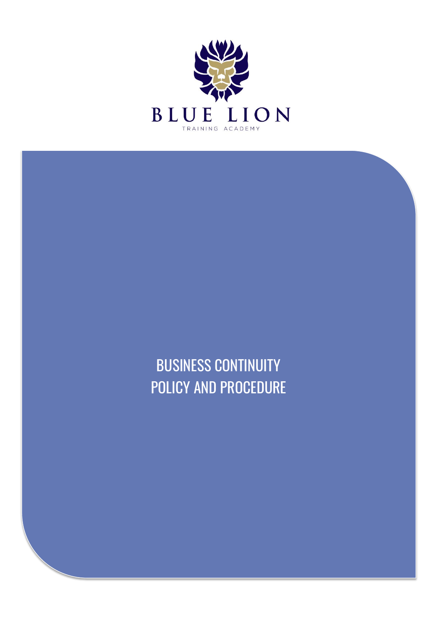

BUSINESS CONTINUITY POLICY AND PROCEDURE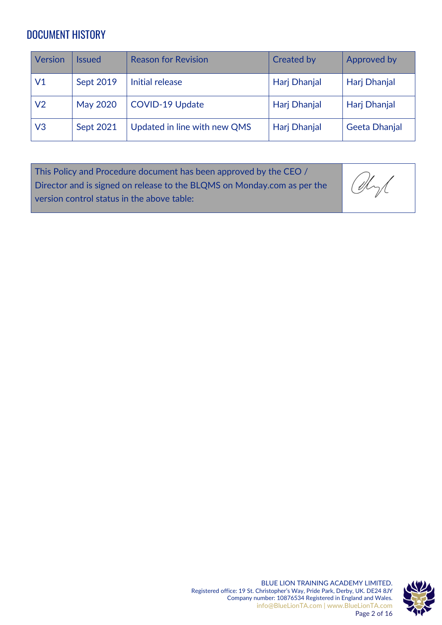# DOCUMENT HISTORY

| <b>Version</b> | lssued          | <b>Reason for Revision</b>   | <b>Created by</b> | Approved by          |
|----------------|-----------------|------------------------------|-------------------|----------------------|
| V1             | Sept 2019       | Initial release              | Harj Dhanjal      | Harj Dhanjal         |
| V <sub>2</sub> | <b>May 2020</b> | <b>COVID-19 Update</b>       | Harj Dhanjal      | Harj Dhanjal         |
| V <sub>3</sub> | Sept 2021       | Updated in line with new QMS | Harj Dhanjal      | <b>Geeta Dhanjal</b> |

| This Policy and Procedure document has been approved by the CEO /       |      |
|-------------------------------------------------------------------------|------|
| Director and is signed on release to the BLQMS on Monday.com as per the | Chyl |
| version control status in the above table:                              |      |

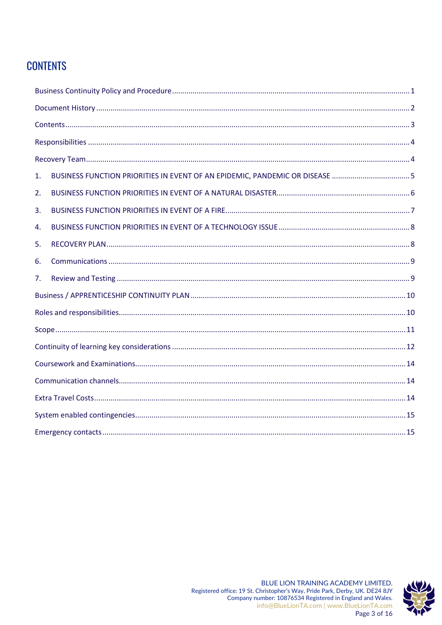# **CONTENTS**

| 1. |  |
|----|--|
| 2. |  |
| 3. |  |
| 4. |  |
| 5. |  |
| 6. |  |
| 7. |  |
|    |  |
|    |  |
|    |  |
|    |  |
|    |  |
|    |  |
|    |  |
|    |  |
|    |  |



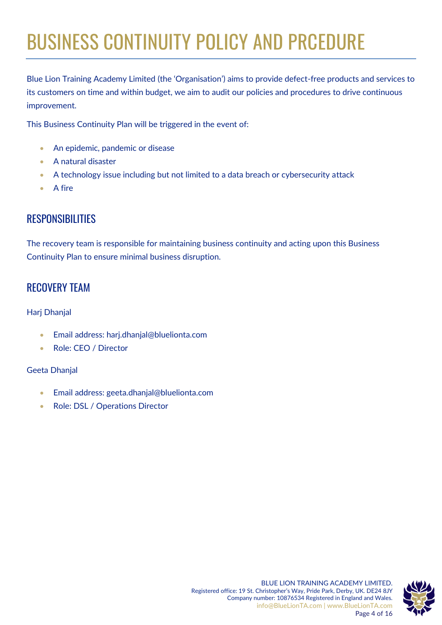# BUSINESS CONTINUITY POLICY AND PRCEDURE

Blue Lion Training Academy Limited (the 'Organisation') aims to provide defect-free products and services to its customers on time and within budget, we aim to audit our policies and procedures to drive continuous improvement.

This Business Continuity Plan will be triggered in the event of:

- An epidemic, pandemic or disease
- A natural disaster
- A technology issue including but not limited to a data breach or cybersecurity attack
- A fire

## **RESPONSIBILITIES**

The recovery team is responsible for maintaining business continuity and acting upon this Business Continuity Plan to ensure minimal business disruption.

## RECOVERY TEAM

#### Harj Dhanjal

- Email address: harj.dhanjal@bluelionta.com
- Role: CEO / Director

#### Geeta Dhanjal

- Email address: geeta.dhanjal@bluelionta.com
- Role: DSL / Operations Director

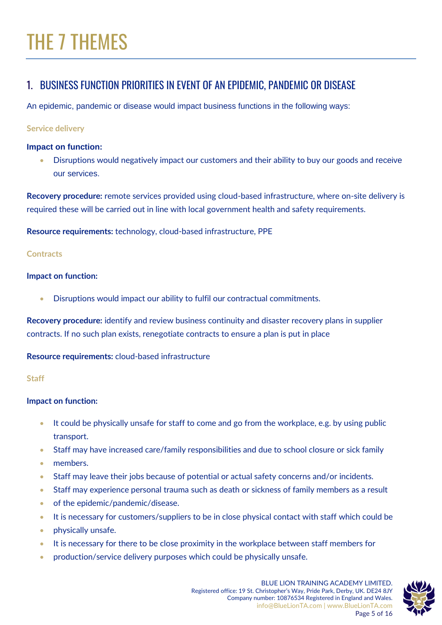# THE 7 THEMES

## 1. BUSINESS FUNCTION PRIORITIES IN EVENT OF AN EPIDEMIC, PANDEMIC OR DISEASE

An epidemic, pandemic or disease would impact business functions in the following ways:

#### **Service delivery**

#### **Impact on function:**

• Disruptions would negatively impact our customers and their ability to buy our goods and receive our services.

**Recovery procedure:** remote services provided using cloud-based infrastructure, where on-site delivery is required these will be carried out in line with local government health and safety requirements.

**Resource requirements:** technology, cloud-based infrastructure, PPE

#### **Contracts**

#### **Impact on function:**

• Disruptions would impact our ability to fulfil our contractual commitments.

**Recovery procedure:** identify and review business continuity and disaster recovery plans in supplier contracts. If no such plan exists, renegotiate contracts to ensure a plan is put in place

#### **Resource requirements:** cloud-based infrastructure

#### **Staff**

#### **Impact on function:**

- It could be physically unsafe for staff to come and go from the workplace, e.g. by using public transport.
- Staff may have increased care/family responsibilities and due to school closure or sick family
- members.
- Staff may leave their jobs because of potential or actual safety concerns and/or incidents.
- Staff may experience personal trauma such as death or sickness of family members as a result
- of the epidemic/pandemic/disease.
- It is necessary for customers/suppliers to be in close physical contact with staff which could be
- physically unsafe.
- It is necessary for there to be close proximity in the workplace between staff members for
- production/service delivery purposes which could be physically unsafe.

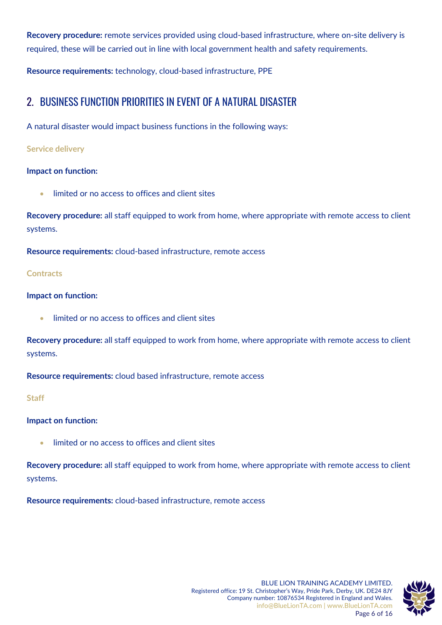**Recovery procedure:** remote services provided using cloud-based infrastructure, where on-site delivery is required, these will be carried out in line with local government health and safety requirements.

**Resource requirements:** technology, cloud-based infrastructure, PPE

## 2. BUSINESS FUNCTION PRIORITIES IN EVENT OF A NATURAL DISASTER

A natural disaster would impact business functions in the following ways:

#### **Service delivery**

#### **Impact on function:**

• limited or no access to offices and client sites

**Recovery procedure:** all staff equipped to work from home, where appropriate with remote access to client systems.

**Resource requirements:** cloud-based infrastructure, remote access

#### **Contracts**

#### **Impact on function:**

• limited or no access to offices and client sites

**Recovery procedure:** all staff equipped to work from home, where appropriate with remote access to client systems.

**Resource requirements:** cloud based infrastructure, remote access

#### **Staff**

#### **Impact on function:**

• limited or no access to offices and client sites

**Recovery procedure:** all staff equipped to work from home, where appropriate with remote access to client systems.

**Resource requirements:** cloud-based infrastructure, remote access



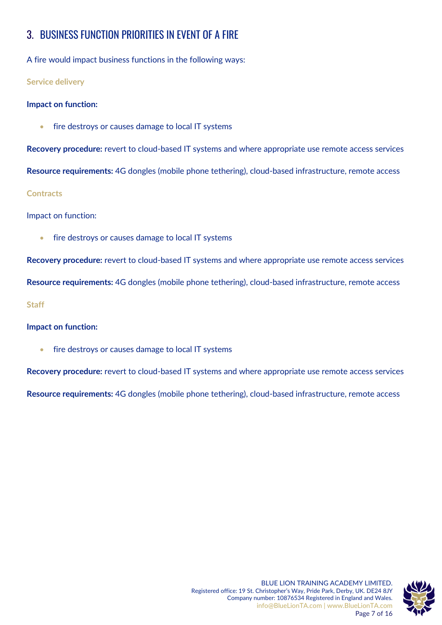# 3. BUSINESS FUNCTION PRIORITIES IN EVENT OF A FIRE

A fire would impact business functions in the following ways:

#### **Service delivery**

#### **Impact on function:**

fire destroys or causes damage to local IT systems

**Recovery procedure:** revert to cloud-based IT systems and where appropriate use remote access services

**Resource requirements:** 4G dongles (mobile phone tethering), cloud-based infrastructure, remote access

#### **Contracts**

Impact on function:

• fire destroys or causes damage to local IT systems

**Recovery procedure:** revert to cloud-based IT systems and where appropriate use remote access services **Resource requirements:** 4G dongles (mobile phone tethering), cloud-based infrastructure, remote access

**Staff**

#### **Impact on function:**

fire destroys or causes damage to local IT systems

**Recovery procedure:** revert to cloud-based IT systems and where appropriate use remote access services

**Resource requirements:** 4G dongles (mobile phone tethering), cloud-based infrastructure, remote access

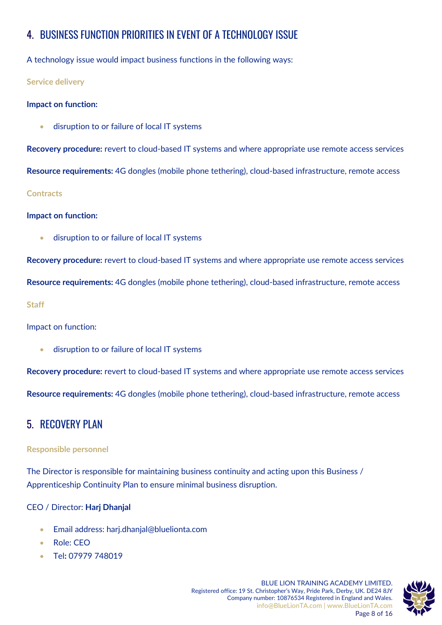# 4. BUSINESS FUNCTION PRIORITIES IN EVENT OF A TECHNOLOGY ISSUE

A technology issue would impact business functions in the following ways:

**Service delivery**

#### **Impact on function:**

• disruption to or failure of local IT systems

**Recovery procedure:** revert to cloud-based IT systems and where appropriate use remote access services **Resource requirements:** 4G dongles (mobile phone tethering), cloud-based infrastructure, remote access **Contracts**

#### **Impact on function:**

• disruption to or failure of local IT systems

**Recovery procedure:** revert to cloud-based IT systems and where appropriate use remote access services

**Resource requirements:** 4G dongles (mobile phone tethering), cloud-based infrastructure, remote access

**Staff**

Impact on function:

• disruption to or failure of local IT systems

**Recovery procedure:** revert to cloud-based IT systems and where appropriate use remote access services

**Resource requirements:** 4G dongles (mobile phone tethering), cloud-based infrastructure, remote access

## 5. RECOVERY PLAN

#### **Responsible personnel**

The Director is responsible for maintaining business continuity and acting upon this Business / Apprenticeship Continuity Plan to ensure minimal business disruption.

#### CEO / Director: **Harj Dhanjal**

- Email address: harj.dhanjal@bluelionta.com
- Role: CEO
- Tel**:** 07979 748019

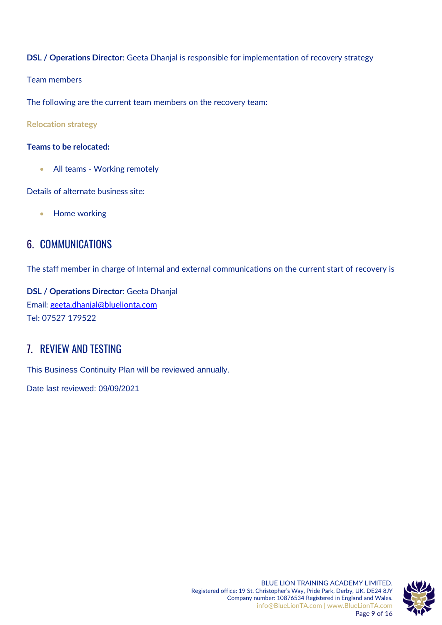#### **DSL / Operations Director**: Geeta Dhanjal is responsible for implementation of recovery strategy

Team members

The following are the current team members on the recovery team:

**Relocation strategy**

#### **Teams to be relocated:**

• All teams - Working remotely

Details of alternate business site:

• Home working

## 6. COMMUNICATIONS

The staff member in charge of Internal and external communications on the current start of recovery is

**DSL / Operations Director**: Geeta Dhanjal Email: [geeta.dhanjal@bluelionta.com](mailto:geeta.dhanjal@bluelionta.com) Tel: 07527 179522

## 7. REVIEW AND TESTING

This Business Continuity Plan will be reviewed annually.

Date last reviewed: 09/09/2021

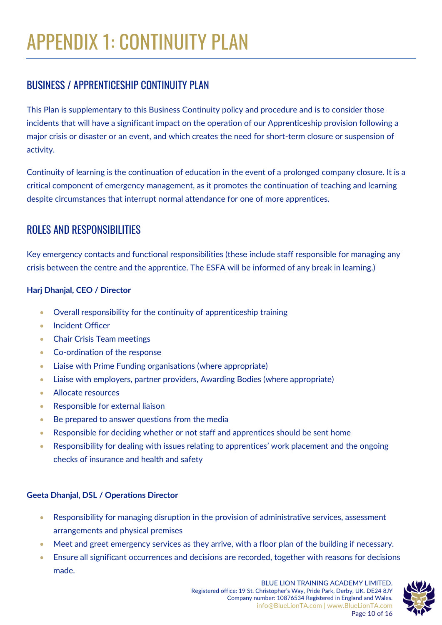# BUSINESS / APPRENTICESHIP CONTINUITY PLAN

This Plan is supplementary to this Business Continuity policy and procedure and is to consider those incidents that will have a significant impact on the operation of our Apprenticeship provision following a major crisis or disaster or an event, and which creates the need for short-term closure or suspension of activity.

Continuity of learning is the continuation of education in the event of a prolonged company closure. It is a critical component of emergency management, as it promotes the continuation of teaching and learning despite circumstances that interrupt normal attendance for one of more apprentices.

# ROLES AND RESPONSIBILITIES

Key emergency contacts and functional responsibilities (these include staff responsible for managing any crisis between the centre and the apprentice. The ESFA will be informed of any break in learning.)

#### **Harj Dhanjal, CEO / Director**

- Overall responsibility for the continuity of apprenticeship training
- Incident Officer
- Chair Crisis Team meetings
- Co-ordination of the response
- Liaise with Prime Funding organisations (where appropriate)
- Liaise with employers, partner providers, Awarding Bodies (where appropriate)
- Allocate resources
- Responsible for external liaison
- Be prepared to answer questions from the media
- Responsible for deciding whether or not staff and apprentices should be sent home
- Responsibility for dealing with issues relating to apprentices' work placement and the ongoing checks of insurance and health and safety

#### **Geeta Dhanjal, DSL / Operations Director**

- Responsibility for managing disruption in the provision of administrative services, assessment arrangements and physical premises
- Meet and greet emergency services as they arrive, with a floor plan of the building if necessary.
- Ensure all significant occurrences and decisions are recorded, together with reasons for decisions made.

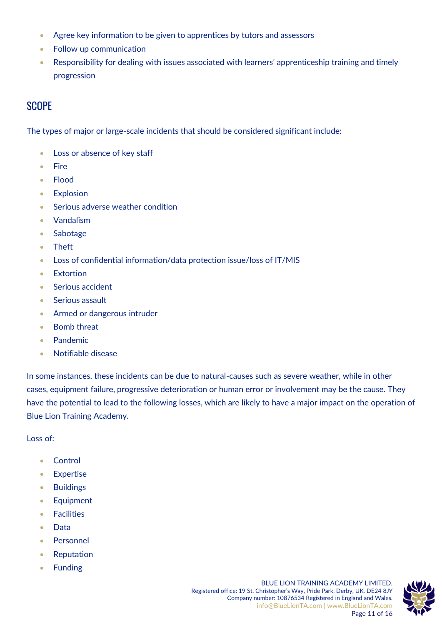- Agree key information to be given to apprentices by tutors and assessors
- Follow up communication
- Responsibility for dealing with issues associated with learners' apprenticeship training and timely progression

## **SCOPF**

The types of major or large-scale incidents that should be considered significant include:

- Loss or absence of key staff
- Fire
- Flood
- **Explosion**
- Serious adverse weather condition
- Vandalism
- Sabotage
- Theft
- Loss of confidential information/data protection issue/loss of IT/MIS
- Extortion
- Serious accident
- Serious assault
- Armed or dangerous intruder
- Bomb threat
- Pandemic
- Notifiable disease

In some instances, these incidents can be due to natural-causes such as severe weather, while in other cases, equipment failure, progressive deterioration or human error or involvement may be the cause. They have the potential to lead to the following losses, which are likely to have a major impact on the operation of Blue Lion Training Academy.

Loss of:

- Control
- Expertise
- Buildings
- Equipment
- Facilities
- Data
- Personnel
- Reputation
- Funding

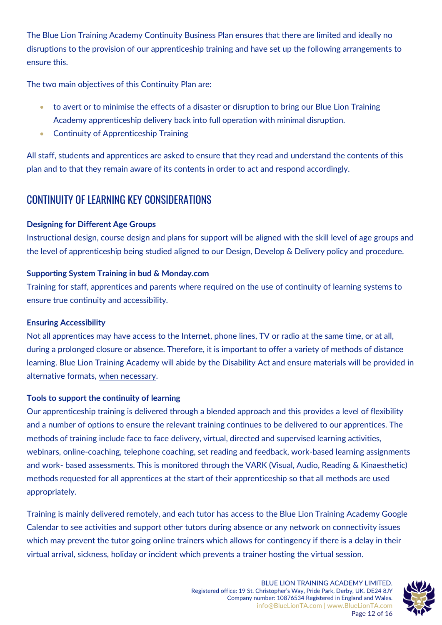The Blue Lion Training Academy Continuity Business Plan ensures that there are limited and ideally no disruptions to the provision of our apprenticeship training and have set up the following arrangements to ensure this.

The two main objectives of this Continuity Plan are:

- to avert or to minimise the effects of a disaster or disruption to bring our Blue Lion Training Academy apprenticeship delivery back into full operation with minimal disruption.
- Continuity of Apprenticeship Training

All staff, students and apprentices are asked to ensure that they read and understand the contents of this plan and to that they remain aware of its contents in order to act and respond accordingly.

## CONTINUITY OF LEARNING KEY CONSIDERATIONS

#### **Designing for Different Age Groups**

Instructional design, course design and plans for support will be aligned with the skill level of age groups and the level of apprenticeship being studied aligned to our Design, Develop & Delivery policy and procedure.

#### **Supporting System Training in bud & Monday.com**

Training for staff, apprentices and parents where required on the use of continuity of learning systems to ensure true continuity and accessibility.

#### **Ensuring Accessibility**

Not all apprentices may have access to the Internet, phone lines, TV or radio at the same time, or at all, during a prolonged closure or absence. Therefore, it is important to offer a variety of methods of distance learning. Blue Lion Training Academy will abide by the Disability Act and ensure materials will be provided in alternative formats, when necessary.

#### **Tools to support the continuity of learning**

Our apprenticeship training is delivered through a blended approach and this provides a level of flexibility and a number of options to ensure the relevant training continues to be delivered to our apprentices. The methods of training include face to face delivery, virtual, directed and supervised learning activities, webinars, online-coaching, telephone coaching, set reading and feedback, work-based learning assignments and work- based assessments. This is monitored through the VARK (Visual, Audio, Reading & Kinaesthetic) methods requested for all apprentices at the start of their apprenticeship so that all methods are used appropriately.

Training is mainly delivered remotely, and each tutor has access to the Blue Lion Training Academy Google Calendar to see activities and support other tutors during absence or any network on connectivity issues which may prevent the tutor going online trainers which allows for contingency if there is a delay in their virtual arrival, sickness, holiday or incident which prevents a trainer hosting the virtual session.

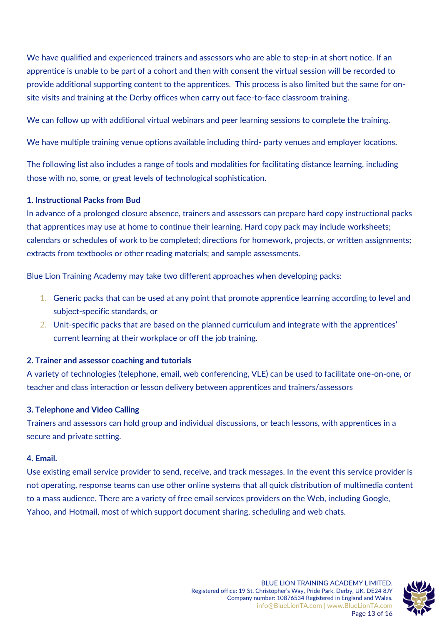We have qualified and experienced trainers and assessors who are able to step-in at short notice. If an apprentice is unable to be part of a cohort and then with consent the virtual session will be recorded to provide additional supporting content to the apprentices. This process is also limited but the same for onsite visits and training at the Derby offices when carry out face-to-face classroom training.

We can follow up with additional virtual webinars and peer learning sessions to complete the training.

We have multiple training venue options available including third- party venues and employer locations.

The following list also includes a range of tools and modalities for facilitating distance learning, including those with no, some, or great levels of technological sophistication.

#### **1. Instructional Packs from Bud**

In advance of a prolonged closure absence, trainers and assessors can prepare hard copy instructional packs that apprentices may use at home to continue their learning. Hard copy pack may include worksheets; calendars or schedules of work to be completed; directions for homework, projects, or written assignments; extracts from textbooks or other reading materials; and sample assessments.

Blue Lion Training Academy may take two different approaches when developing packs:

- 1. Generic packs that can be used at any point that promote apprentice learning according to level and subject-specific standards, or
- 2. Unit-specific packs that are based on the planned curriculum and integrate with the apprentices' current learning at their workplace or off the job training.

#### **2. Trainer and assessor coaching and tutorials**

A variety of technologies (telephone, email, web conferencing, VLE) can be used to facilitate one-on-one, or teacher and class interaction or lesson delivery between apprentices and trainers/assessors

#### **3. Telephone and Video Calling**

Trainers and assessors can hold group and individual discussions, or teach lessons, with apprentices in a secure and private setting.

#### **4. Email.**

Use existing email service provider to send, receive, and track messages. In the event this service provider is not operating, response teams can use other online systems that all quick distribution of multimedia content to a mass audience. There are a variety of free email services providers on the Web, including Google, Yahoo, and Hotmail, most of which support document sharing, scheduling and web chats.

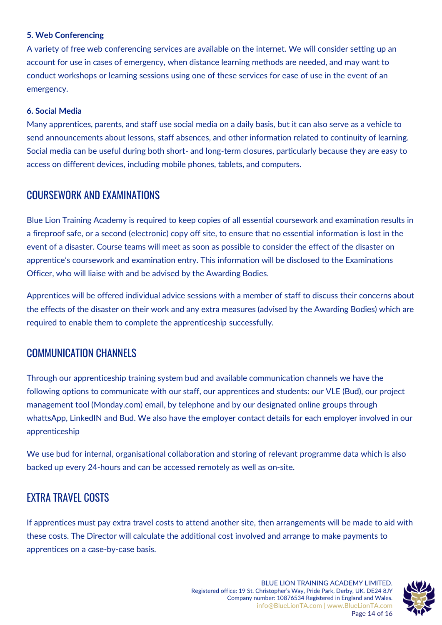#### **5. Web Conferencing**

A variety of free web conferencing services are available on the internet. We will consider setting up an account for use in cases of emergency, when distance learning methods are needed, and may want to conduct workshops or learning sessions using one of these services for ease of use in the event of an emergency.

#### **6. Social Media**

Many apprentices, parents, and staff use social media on a daily basis, but it can also serve as a vehicle to send announcements about lessons, staff absences, and other information related to continuity of learning. Social media can be useful during both short- and long-term closures, particularly because they are easy to access on different devices, including mobile phones, tablets, and computers.

### COURSEWORK AND EXAMINATIONS

Blue Lion Training Academy is required to keep copies of all essential coursework and examination results in a fireproof safe, or a second (electronic) copy off site, to ensure that no essential information is lost in the event of a disaster. Course teams will meet as soon as possible to consider the effect of the disaster on apprentice's coursework and examination entry. This information will be disclosed to the Examinations Officer, who will liaise with and be advised by the Awarding Bodies.

Apprentices will be offered individual advice sessions with a member of staff to discuss their concerns about the effects of the disaster on their work and any extra measures (advised by the Awarding Bodies) which are required to enable them to complete the apprenticeship successfully.

### COMMUNICATION CHANNELS

Through our apprenticeship training system bud and available communication channels we have the following options to communicate with our staff, our apprentices and students: our VLE (Bud), our project management tool (Monday.com) email, by telephone and by our designated online groups through whattsApp, LinkedIN and Bud. We also have the employer contact details for each employer involved in our apprenticeship

We use bud for internal, organisational collaboration and storing of relevant programme data which is also backed up every 24-hours and can be accessed remotely as well as on-site.

## EXTRA TRAVEL COSTS

If apprentices must pay extra travel costs to attend another site, then arrangements will be made to aid with these costs. The Director will calculate the additional cost involved and arrange to make payments to apprentices on a case-by-case basis.

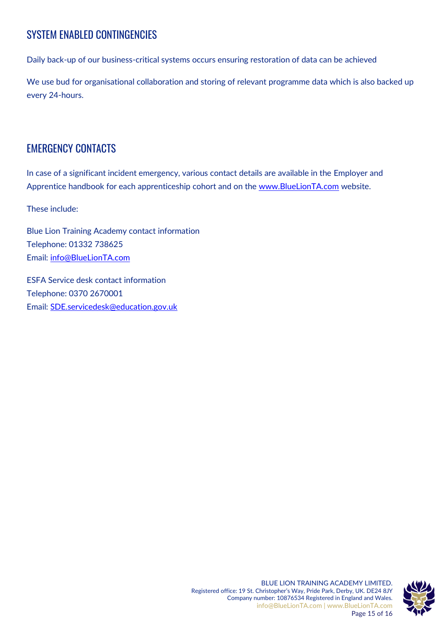# SYSTEM ENABLED CONTINGENCIES

Daily back-up of our business-critical systems occurs ensuring restoration of data can be achieved

We use bud for organisational collaboration and storing of relevant programme data which is also backed up every 24-hours.

## EMERGENCY CONTACTS

In case of a significant incident emergency, various contact details are available in the Employer and Apprentice handbook for each apprenticeship cohort and on the [www.BlueLionTA.com](http://www.bluelionta.com/) website.

These include:

Blue Lion Training Academy contact information Telephone: 01332 738625 Email: [info@BlueLionTA.com](mailto:info@BlueLionTA.com)

ESFA Service desk contact information Telephone: 0370 2670001 Email: [SDE.servicedesk@education.gov.uk](mailto:SDE.servicedesk@education.gov.uk)